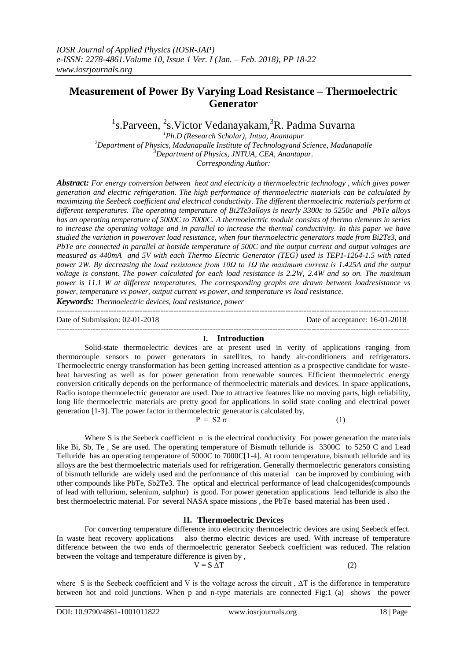# **Measurement of Power By Varying Load Resistance – Thermoelectric Generator**

<sup>1</sup>s.Parveen, <sup>2</sup>s.Victor Vedanayakam, <sup>3</sup>R. Padma Suvarna

*Ph.D (Research Scholar), Jntua, Anantapur Department of Physics, Madanapalle Institute of Technologyand Science, Madanapalle Department of Physics, JNTUA, CEA, Anantapur. Corresponding Author:*

*Abstract: For energy conversion between heat and electricity a thermoelectric technology , which gives power generation and electric refrigeration. The high performance of thermoelectric materials can be calculated by maximizing the Seebeck coefficient and electrical conductivity. The different thermoelectric materials perform at different temperatures. The operating temperature of Bi2Te3alloys is nearly 3300c to 5250c and PbTe alloys has an operating temperature of 5000C to 7000C. A thermoelectric module consists of thermo elements in series to increase the operating voltage and in parallel to increase the thermal conductivity. In this paper we have studied the variation in powerover load resistance, when four thermoelectric generators made from Bi2Te3, and PbTe are connected in parallel at hotside temperature of 500C and the output current and output voltages are measured as 440mA and 5V with each Thermo Electric Generator (TEG) used is TEP1-1264-1.5 with rated power 2W. By decreasing the load resistance from 10Ω to 1Ω the maximum current is 1.425A and the output voltage is constant. The power calculated for each load resistance is 2.2W, 2.4W and so on. The maximum power is 11.1 W at different temperatures. The corresponding graphs are drawn between loadresistance vs power, temperature vs power, output current vs power, and temperature vs load resistance.* 

*Keywords: Thermoelectric devices, load resistance, power*

Date of Submission: 02-01-2018 Date of acceptance: 16-01-2018

#### --------------------------------------------------------------------------------------------------------------------------------------- **I. Introduction**

---------------------------------------------------------------------------------------------------------------------------------------

Solid-state thermoelectric devices are at present used in verity of applications ranging from thermocouple sensors to power generators in satellites, to handy air-conditioners and refrigerators. Thermoelectric energy transformation has been getting increased attention as a prospective candidate for wasteheat harvesting as well as for power generation from renewable sources. Efficient thermoelectric energy conversion critically depends on the performance of thermoelectric materials and devices. In space applications, Radio isotope thermoelectric generator are used. Due to attractive features like no moving parts, high reliability, long life thermoelectric materials are pretty good for applications in solid state cooling and electrical power generation [1-3]. The power factor in thermoelectric generator is calculated by,

 $P = S2 \sigma$  (1)

Where S is the Seebeck coefficient  $\sigma$  is the electrical conductivity For power generation the materials like Bi, Sb, Te , Se are used. The operating temperature of Bismuth telluride is 3300C to 5250 C and Lead Telluride has an operating temperature of 5000C to 7000C[1-4]. At room temperature, bismuth telluride and its alloys are the best thermoelectric materials used for refrigeration. Generally thermoelectric generators consisting of bismuth telluride are widely used and the performance of this material can be improved by combining with other compounds like PbTe, Sb2Te3. The optical and electrical performance of lead chalcogenides(compounds of lead with tellurium, selenium, sulphur) is good. For power generation applications lead telluride is also the best thermoelectric material. For several NASA space missions , the PbTe based material has been used .

## **II. Thermoelectric Devices**

For converting temperature difference into electricity thermoelectric devices are using Seebeck effect. In waste heat recovery applications also thermo electric devices are used. With increase of temperature difference between the two ends of thermoelectric generator Seebeck coefficient was reduced. The relation between the voltage and temperature difference is given by ,

where S is the Seebeck coefficient and V is the voltage across the circuit,  $\Delta T$  is the difference in temperature between hot and cold junctions. When p and n-type materials are connected Fig:1 (a) shows the power

 $V = S \Delta T$  (2)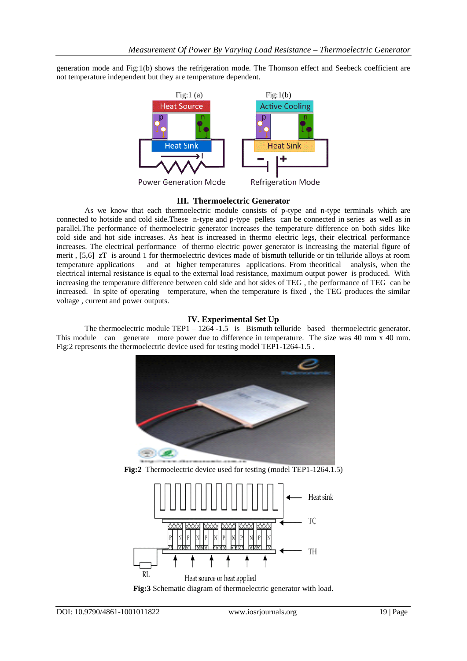generation mode and Fig:1(b) shows the refrigeration mode. The Thomson effect and Seebeck coefficient are not temperature independent but they are temperature dependent.



#### **III. Thermoelectric Generator**

As we know that each thermoelectric module consists of p-type and n-type terminals which are connected to hotside and cold side.These n-type and p-type pellets can be connected in series as well as in parallel.The performance of thermoelectric generator increases the temperature difference on both sides like cold side and hot side increases. As heat is increased in thermo electric legs, their electrical performance increases. The electrical performance of thermo electric power generator is increasing the material figure of merit , [5,6] zT is around 1 for thermoelectric devices made of bismuth telluride or tin telluride alloys at room temperature applications and at higher temperatures applications. From theoritical analysis, when the electrical internal resistance is equal to the external load resistance, maximum output power is produced. With increasing the temperature difference between cold side and hot sides of TEG , the performance of TEG can be increased. In spite of operating temperature, when the temperature is fixed , the TEG produces the similar voltage , current and power outputs.

### **IV. Experimental Set Up**

The thermoelectric module TEP1 – 1264 -1.5 is Bismuth telluride based thermoelectric generator. This module can generate more power due to difference in temperature. The size was 40 mm x 40 mm. Fig:2 represents the thermoelectric device used for testing model TEP1-1264-1.5 .



**Fig:2** Thermoelectric device used for testing (model TEP1-1264.1.5)



**Fig:3** Schematic diagram of thermoelectric generator with load.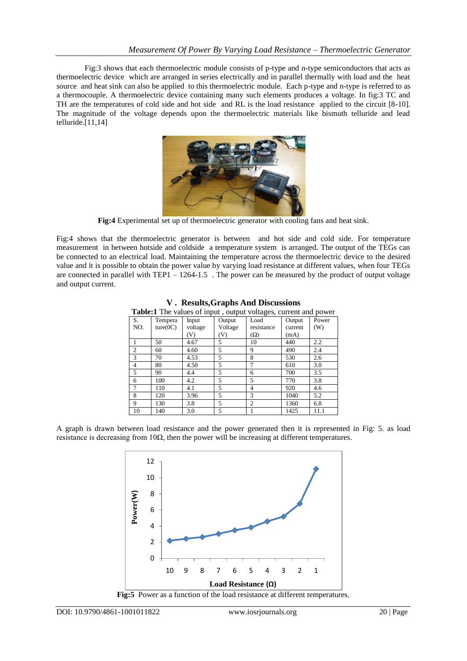Fig:3 shows that each thermoelectric module consists of p-type and n-type semiconductors that acts as thermoelectric device which are arranged in series electrically and in parallel thermally with load and the heat source and heat sink can also be applied to this thermoelectric module. Each p-type and n-type is referred to as a thermocouple. A thermoelectric device containing many such elements produces a voltage. In fig:3 TC and TH are the temperatures of cold side and hot side and RL is the load resistance applied to the circuit [8-10]. The magnitude of the voltage depends upon the thermoelectric materials like bismuth telluride and lead telluride.[11,14]



**Fig:4** Experimental set up of thermoelectric generator with cooling fans and heat sink.

Fig:4 shows that the thermoelectric generator is between and hot side and cold side. For temperature measurement in between hotside and coldside a temperature system is arranged. The output of the TEGs can be connected to an electrical load. Maintaining the temperature across the thermoelectric device to the desired value and it is possible to obtain the power value by varying load resistance at different values, when four TEGs are connected in parallel with TEP1 – 1264-1.5 . The power can be measured by the product of output voltage and output current.

| <b>Table:1</b> The values of input, output voltages, current and power |          |         |                |                |         |       |
|------------------------------------------------------------------------|----------|---------|----------------|----------------|---------|-------|
| S.                                                                     | Tempera  | Input   | Output         | Load           | Output  | Power |
| NO.                                                                    | ture(0C) | voltage | Voltage        | resistance     | current | (W)   |
|                                                                        |          | (V)     | (V)            | $(\Omega)$     | (mA)    |       |
|                                                                        | 50       | 4.67    | 5              | 10             | 440     | 2.2   |
| $\overline{c}$                                                         | 60       | 4.60    | 5              | 9              | 490     | 2.4   |
| 3                                                                      | 70       | 4.53    | 5              | 8              | 530     | 2.6   |
| 4                                                                      | 80       | 4.50    | 5              | 7              | 610     | 3.0   |
| 5                                                                      | 90       | 4.4     | 5              | 6              | 700     | 3.5   |
| 6                                                                      | 100      | 4.2     | 5              | 5              | 770     | 3.8   |
| $\overline{7}$                                                         | 110      | 4.1     | 5              | 4              | 920     | 4.6   |
| 8                                                                      | 120      | 3.96    | $\overline{5}$ | 3              | 1040    | 5.2   |
| 9                                                                      | 130      | 3.8     | 5              | $\overline{c}$ | 1360    | 6.8   |
| 10                                                                     | 140      | 3.0     | 5              |                | 1425    | 11.1  |

**V . Results,Graphs And Discussions**

A graph is drawn between load resistance and the power generated then it is represented in Fig: 5. as load resistance is decreasing from  $10\Omega$ , then the power will be increasing at different temperatures.

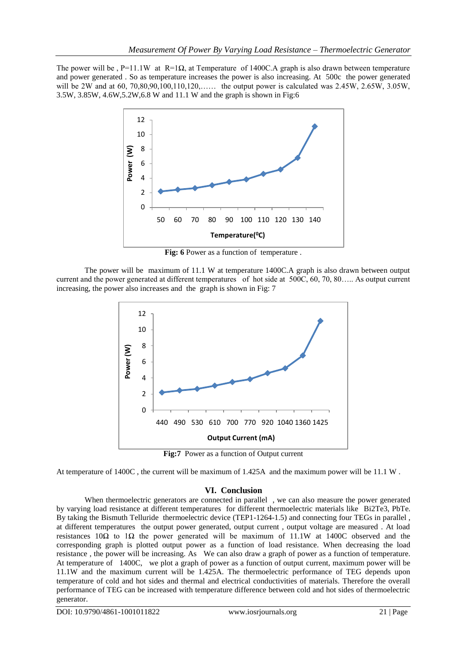The power will be , P=11.1W at R=1 $\Omega$ , at Temperature of 1400C.A graph is also drawn between temperature and power generated . So as temperature increases the power is also increasing. At 500c the power generated will be 2W and at 60, 70,80,90,100,110,120,…… the output power is calculated was 2.45W, 2.65W, 3.05W, 3.5W, 3.85W, 4.6W,5.2W,6.8 W and 11.1 W and the graph is shown in Fig:6



**Fig: 6** Power as a function of temperature .

The power will be maximum of 11.1 W at temperature 1400C.A graph is also drawn between output current and the power generated at different temperatures of hot side at 500C, 60, 70, 80….. As output current increasing, the power also increases and the graph is shown in Fig: 7



**Fig:7** Power as a function of Output current

At temperature of 1400C , the current will be maximum of 1.425A and the maximum power will be 11.1 W .

# **VI. Conclusion**

When thermoelectric generators are connected in parallel , we can also measure the power generated by varying load resistance at different temperatures for different thermoelectric materials like Bi2Te3, PbTe. By taking the Bismuth Telluride thermoelectric device (TEP1-1264-1.5) and connecting four TEGs in parallel , at different temperatures the output power generated, output current , output voltage are measured . At load resistances 10 $\Omega$  to 1 $\Omega$  the power generated will be maximum of 11.1W at 1400C observed and the corresponding graph is plotted output power as a function of load resistance. When decreasing the load resistance , the power will be increasing. As We can also draw a graph of power as a function of temperature. At temperature of 1400C, we plot a graph of power as a function of output current, maximum power will be 11.1W and the maximum current will be 1.425A. The thermoelectric performance of TEG depends upon temperature of cold and hot sides and thermal and electrical conductivities of materials. Therefore the overall performance of TEG can be increased with temperature difference between cold and hot sides of thermoelectric generator.